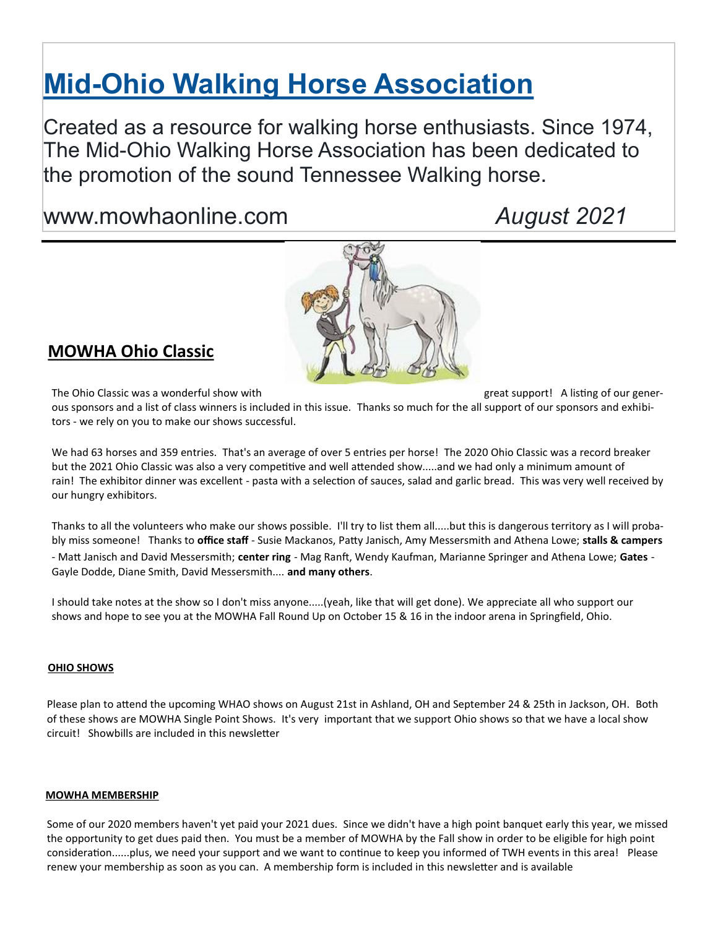# **Mid-[Ohio Walking Horse Association](http://www.mowhaonline.com/)**

Created as a resource for walking horse enthusiasts. Since 1974, The Mid-Ohio Walking Horse Association has been dedicated to the promotion of the sound Tennessee Walking horse.

## www.mowhaonline.com *August 2021*



### **MOWHA Ohio Classic**

The Ohio Classic was a wonderful show with great support! A listing of our gener-

ous sponsors and a list of class winners is included in this issue. Thanks so much for the all support of our sponsors and exhibitors - we rely on you to make our shows successful.

We had 63 horses and 359 entries. That's an average of over 5 entries per horse! The 2020 Ohio Classic was a record breaker but the 2021 Ohio Classic was also a very competitive and well attended show.....and we had only a minimum amount of rain! The exhibitor dinner was excellent - pasta with a selection of sauces, salad and garlic bread. This was very well received by our hungry exhibitors.

Thanks to all the volunteers who make our shows possible. I'll try to list them all.....but this is dangerous territory as I will probably miss someone! Thanks to **office staff** - Susie Mackanos, Patty Janisch, Amy Messersmith and Athena Lowe; **stalls & campers** - Matt Janisch and David Messersmith; **center ring** - Mag Ranft, Wendy Kaufman, Marianne Springer and Athena Lowe; **Gates** - Gayle Dodde, Diane Smith, David Messersmith.... **and many others**.

I should take notes at the show so I don't miss anyone.....(yeah, like that will get done). We appreciate all who support our shows and hope to see you at the MOWHA Fall Round Up on October 15 & 16 in the indoor arena in Springfield, Ohio.

#### **OHIO SHOWS**

Please plan to attend the upcoming WHAO shows on August 21st in Ashland, OH and September 24 & 25th in Jackson, OH. Both of these shows are MOWHA Single Point Shows. It's very important that we support Ohio shows so that we have a local show circuit! Showbills are included in this newsletter

#### **MOWHA MEMBERSHIP**

Some of our 2020 members haven't yet paid your 2021 dues. Since we didn't have a high point banquet early this year, we missed the opportunity to get dues paid then. You must be a member of MOWHA by the Fall show in order to be eligible for high point consideration......plus, we need your support and we want to continue to keep you informed of TWH events in this area! Please renew your membership as soon as you can. A membership form is included in this newsletter and is available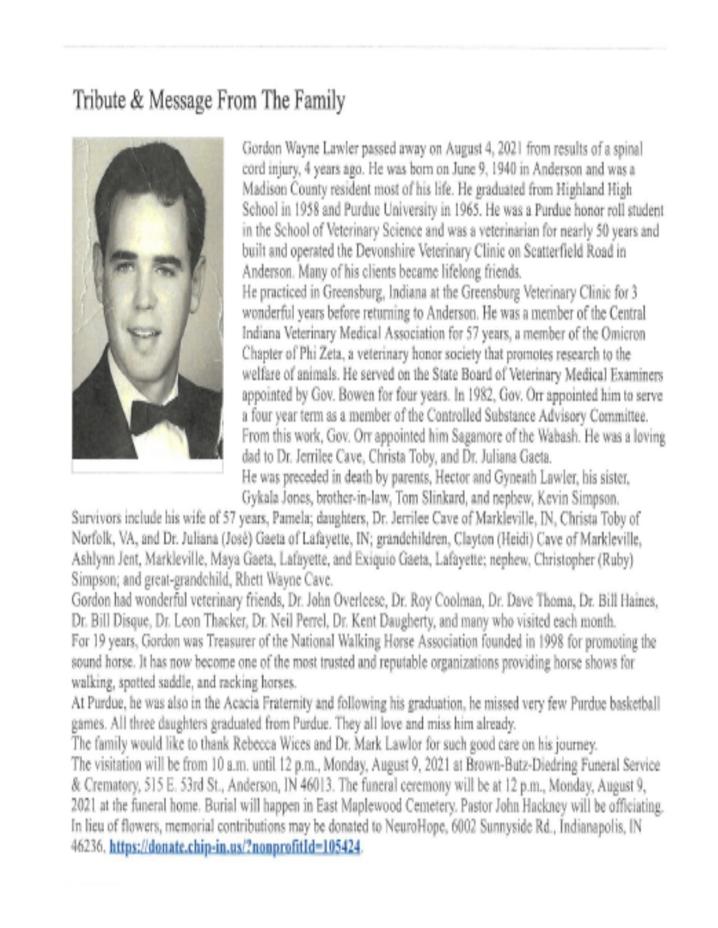## Tribute & Message From The Family



Gordon Wayne Lawler passed away on August 4, 2021 from results of a spinal cord injury, 4 years ago. He was born on June 9, 1940 in Anderson and was a Madison County resident most of his life. He graduated from Highland High School in 1958 and Purdue University in 1965. He was a Purdue honor roll student in the School of Veterinary Science and was a veterinarian for nearly 50 years and built and operated the Devonshire Veterinary Clinic on Scatterfield Road in Anderson. Many of his clients became lifelong friends. He practiced in Greensburg, Indiana at the Greensburg Veterinary Clinic for 3 wonderful years before returning to Anderson. He was a member of the Central Indiana Veterinary Medical Association for 57 years, a member of the Omicron Chapter of Phi Zeta, a veterinary honor society that promotes research to the welfare of animals. He served on the State Board of Veterinary Medical Examiners appointed by Gov. Bowen for four years. In 1982, Gov. Orr appointed him to serve a four year term as a member of the Controlled Substance Advisory Committee. From this work, Gov. Orr appointed him Sagamore of the Wabash. He was a loving dad to Dr. Jerrilee Cave, Christa Toby, and Dr. Juliana Gaeta. He was preceded in death by parents, Hector and Gyneath Lawler, his sister, Gykala Jones, brother-in-law, Tom Slinkard, and nephew, Kevin Simpson.

Survivors include his wife of 57 years, Pamela; daughters, Dr. Jerrilee Cave of Markleville, IN, Christa Toby of Norfolk, VA, and Dr. Juliana (José) Gaeta of Lafayette, IN; grandchildren, Clayton (Heidi) Cave of Markleville, Ashlynn Jent, Markleville, Maya Gaeta, Lafayette, and Exiquio Gaeta, Lafayette; nephew, Christopher (Ruby). Simpson; and great-grandchild, Rhett Wayne Cave.

Gordon had wonderful veterinary friends, Dr. John Overleese, Dr. Roy Coolman, Dr. Dave Thoma, Dr. Bill Haines, Dr. Bill Disque, Dr. Leon Thacker, Dr. Neil Perrel, Dr. Kent Daugherty, and many who visited each month. For 19 years, Gordon was Treasurer of the National Walking Horse Association founded in 1998 for promoting the sound horse. It has now become one of the most trusted and reputable organizations providing horse shows for walking, spotted saddle, and racking horses.

At Purdue, he was also in the Acacia Fraternity and following his graduation, he missed very few Purdue basketball games. All three daughters graduated from Purdue. They all love and miss him already.

The family would like to thank Rebecca Wices and Dr. Mark Lawlor for such good care on his journey. The visitation will be from 10 a.m. until 12 p.m., Monday, August 9, 2021 at Brown-Butz-Diedring Funeral Service & Crematory, 515 E. 53rd St., Anderson, IN 46013. The funeral ceremony will be at 12 p.m., Monday, August 9, 2021 at the funeral home. Burial will happen in East Maplewood Cemetery. Pastor John Hackney will be officiating. In lieu of flowers, memorial contributions may be donated to NeuroHope, 6002 Sunnyside Rd., Indianapolis, IN 46236. https://donate.chip-in.us/?nonprofitId=105424.